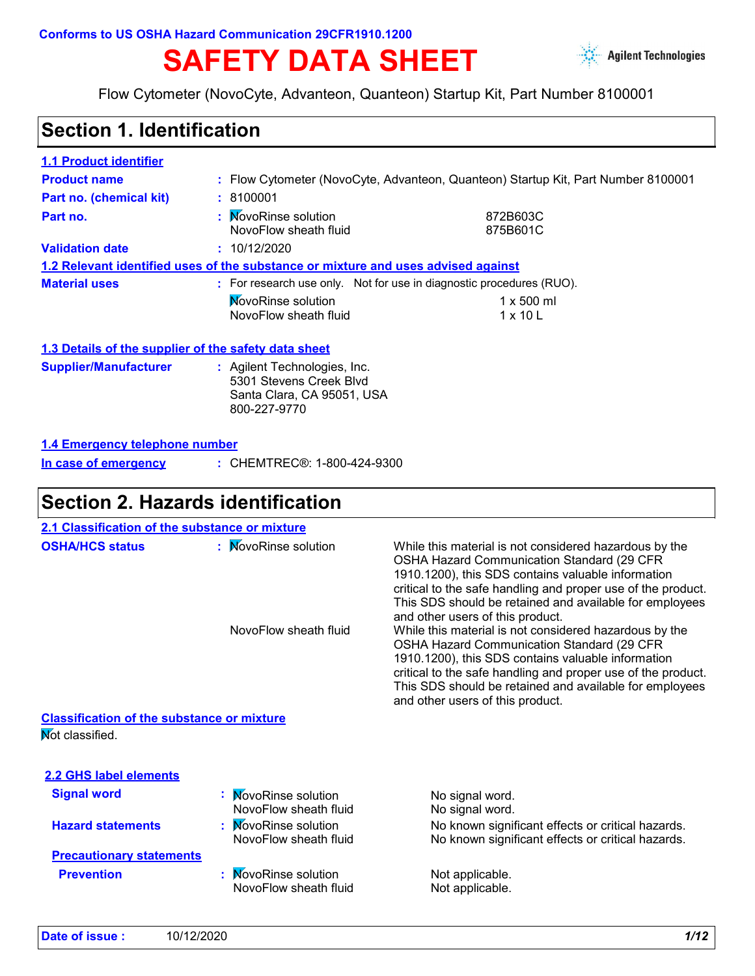# SAFETY DATA SHEET **Agilent Technologies**



Flow Cytometer (NovoCyte, Advanteon, Quanteon) Startup Kit, Part Number 8100001

## **Section 1. Identification**

| <b>1.1 Product identifier</b>                        |                                                                                                       |                                                                                   |  |
|------------------------------------------------------|-------------------------------------------------------------------------------------------------------|-----------------------------------------------------------------------------------|--|
| <b>Product name</b>                                  |                                                                                                       | : Flow Cytometer (NovoCyte, Advanteon, Quanteon) Startup Kit, Part Number 8100001 |  |
| Part no. (chemical kit)                              | : 8100001                                                                                             |                                                                                   |  |
| Part no.                                             | : MovoRinse solution<br>NovoFlow sheath fluid                                                         | 872B603C<br>875B601C                                                              |  |
| <b>Validation date</b>                               | : 10/12/2020                                                                                          |                                                                                   |  |
|                                                      | 1.2 Relevant identified uses of the substance or mixture and uses advised against                     |                                                                                   |  |
| <b>Material uses</b>                                 | : For research use only. Not for use in diagnostic procedures (RUO).                                  |                                                                                   |  |
|                                                      | <b>NovoRinse solution</b><br>NovoFlow sheath fluid                                                    | $1 \times 500$ ml<br>$1 \times 10$ L                                              |  |
| 1.3 Details of the supplier of the safety data sheet |                                                                                                       |                                                                                   |  |
| <b>Supplier/Manufacturer</b>                         | : Agilent Technologies, Inc.<br>5301 Stevens Creek Blvd<br>Santa Clara, CA 95051, USA<br>800-227-9770 |                                                                                   |  |
| 1.4 Emergency telephone number                       |                                                                                                       |                                                                                   |  |

CHEMTREC®: 1-800-424-9300 **: In case of emergency**

#### **Section 2. Hazards identification**

| 2.1 Classification of the substance or mixture    |                                                    |                                                                                                                                                                                                                                                                                                                                                                                                                                                                                                                                                                                                                                                        |
|---------------------------------------------------|----------------------------------------------------|--------------------------------------------------------------------------------------------------------------------------------------------------------------------------------------------------------------------------------------------------------------------------------------------------------------------------------------------------------------------------------------------------------------------------------------------------------------------------------------------------------------------------------------------------------------------------------------------------------------------------------------------------------|
| <b>OSHA/HCS status</b>                            | : MovoRinse solution<br>NovoFlow sheath fluid      | While this material is not considered hazardous by the<br>OSHA Hazard Communication Standard (29 CFR<br>1910.1200), this SDS contains valuable information<br>critical to the safe handling and proper use of the product.<br>This SDS should be retained and available for employees<br>and other users of this product.<br>While this material is not considered hazardous by the<br>OSHA Hazard Communication Standard (29 CFR<br>1910.1200), this SDS contains valuable information<br>critical to the safe handling and proper use of the product.<br>This SDS should be retained and available for employees<br>and other users of this product. |
|                                                   |                                                    |                                                                                                                                                                                                                                                                                                                                                                                                                                                                                                                                                                                                                                                        |
| Mot classified.                                   |                                                    |                                                                                                                                                                                                                                                                                                                                                                                                                                                                                                                                                                                                                                                        |
| 2.2 GHS label elements                            |                                                    |                                                                                                                                                                                                                                                                                                                                                                                                                                                                                                                                                                                                                                                        |
| <b>Signal word</b>                                | <b>MovoRinse solution</b><br>NovoFlow sheath fluid | No signal word.<br>No signal word.                                                                                                                                                                                                                                                                                                                                                                                                                                                                                                                                                                                                                     |
| <b>Hazard statements</b>                          | <b>NovoRinse solution</b><br>NovoFlow sheath fluid | No known significant effects or critical hazards.<br>No known significant effects or critical hazards.                                                                                                                                                                                                                                                                                                                                                                                                                                                                                                                                                 |
| <b>Precautionary statements</b>                   |                                                    |                                                                                                                                                                                                                                                                                                                                                                                                                                                                                                                                                                                                                                                        |
| <b>Prevention</b>                                 | <b>NovoRinse solution</b>                          | Not applicable.                                                                                                                                                                                                                                                                                                                                                                                                                                                                                                                                                                                                                                        |
|                                                   |                                                    |                                                                                                                                                                                                                                                                                                                                                                                                                                                                                                                                                                                                                                                        |
| <b>Classification of the substance or mixture</b> | NovoFlow sheath fluid                              | Not applicable.                                                                                                                                                                                                                                                                                                                                                                                                                                                                                                                                                                                                                                        |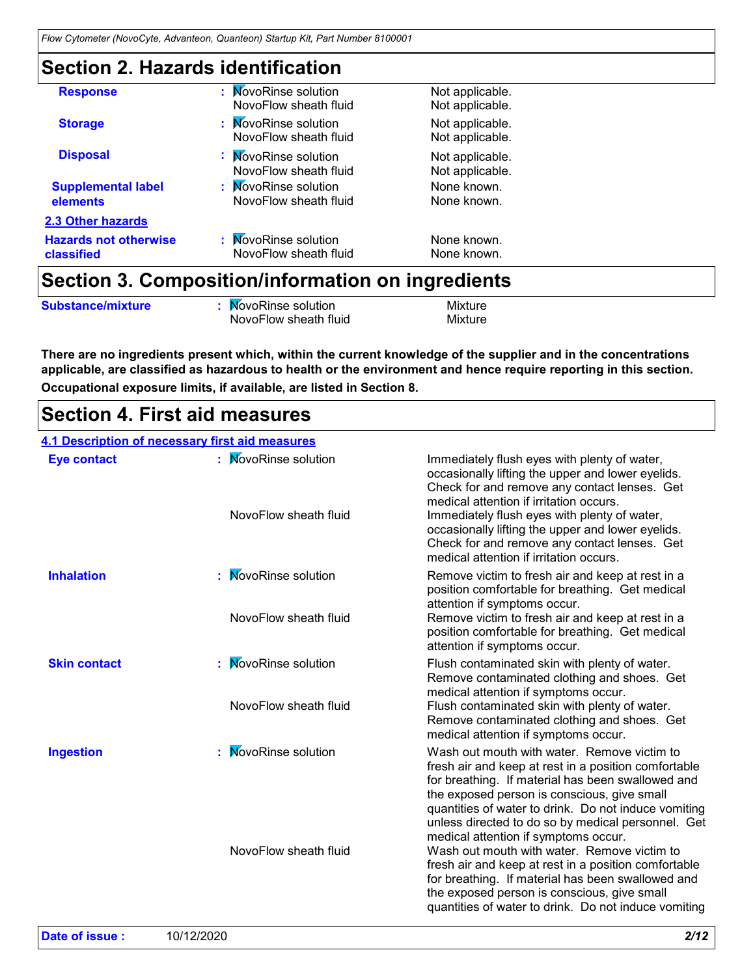## **Section 2. Hazards identification**

|                                            | Section 3. Composition/information on ingredients |                                    |  |
|--------------------------------------------|---------------------------------------------------|------------------------------------|--|
| <b>Hazards not otherwise</b><br>classified | NovoFlow sheath fluid                             | None known.                        |  |
| <b>2.3 Other hazards</b>                   | : MovoRinse solution                              | None known.                        |  |
| <b>Supplemental label</b><br>elements      | : MovoRinse solution<br>NovoFlow sheath fluid     | None known.<br>None known.         |  |
| <b>Disposal</b>                            | : MovoRinse solution<br>NovoFlow sheath fluid     | Not applicable.<br>Not applicable. |  |
| <b>Storage</b>                             | : MovoRinse solution<br>NovoFlow sheath fluid     | Not applicable.<br>Not applicable. |  |
| <b>Response</b>                            | : MovoRinse solution<br>NovoFlow sheath fluid     | Not applicable.<br>Not applicable. |  |

| <b>Substance/mixture</b> | <b>NovoRinse solution</b> | Mixture |
|--------------------------|---------------------------|---------|

NovoFlow sheath fluid Mixture

**Occupational exposure limits, if available, are listed in Section 8. There are no ingredients present which, within the current knowledge of the supplier and in the concentrations applicable, are classified as hazardous to health or the environment and hence require reporting in this section.**

#### **Section 4. First aid measures**

|                     | 4.1 Description of necessary first aid measures |                                                                                                                                                                                                                                                                                                                                                                                              |
|---------------------|-------------------------------------------------|----------------------------------------------------------------------------------------------------------------------------------------------------------------------------------------------------------------------------------------------------------------------------------------------------------------------------------------------------------------------------------------------|
| <b>Eye contact</b>  | : MovoRinse solution<br>NovoFlow sheath fluid   | Immediately flush eyes with plenty of water,<br>occasionally lifting the upper and lower eyelids.<br>Check for and remove any contact lenses. Get<br>medical attention if irritation occurs.<br>Immediately flush eyes with plenty of water,<br>occasionally lifting the upper and lower eyelids.<br>Check for and remove any contact lenses. Get<br>medical attention if irritation occurs. |
| <b>Inhalation</b>   | : MovoRinse solution<br>NovoFlow sheath fluid   | Remove victim to fresh air and keep at rest in a<br>position comfortable for breathing. Get medical<br>attention if symptoms occur.<br>Remove victim to fresh air and keep at rest in a                                                                                                                                                                                                      |
|                     |                                                 | position comfortable for breathing. Get medical<br>attention if symptoms occur.                                                                                                                                                                                                                                                                                                              |
| <b>Skin contact</b> | : MovoRinse solution<br>NovoFlow sheath fluid   | Flush contaminated skin with plenty of water.<br>Remove contaminated clothing and shoes. Get<br>medical attention if symptoms occur.<br>Flush contaminated skin with plenty of water.                                                                                                                                                                                                        |
|                     |                                                 | Remove contaminated clothing and shoes. Get<br>medical attention if symptoms occur.                                                                                                                                                                                                                                                                                                          |
| <b>Ingestion</b>    | : MovoRinse solution                            | Wash out mouth with water. Remove victim to<br>fresh air and keep at rest in a position comfortable<br>for breathing. If material has been swallowed and<br>the exposed person is conscious, give small<br>quantities of water to drink. Do not induce vomiting<br>unless directed to do so by medical personnel. Get<br>medical attention if symptoms occur.                                |
|                     | NovoFlow sheath fluid                           | Wash out mouth with water. Remove victim to<br>fresh air and keep at rest in a position comfortable<br>for breathing. If material has been swallowed and<br>the exposed person is conscious, give small<br>quantities of water to drink. Do not induce vomiting                                                                                                                              |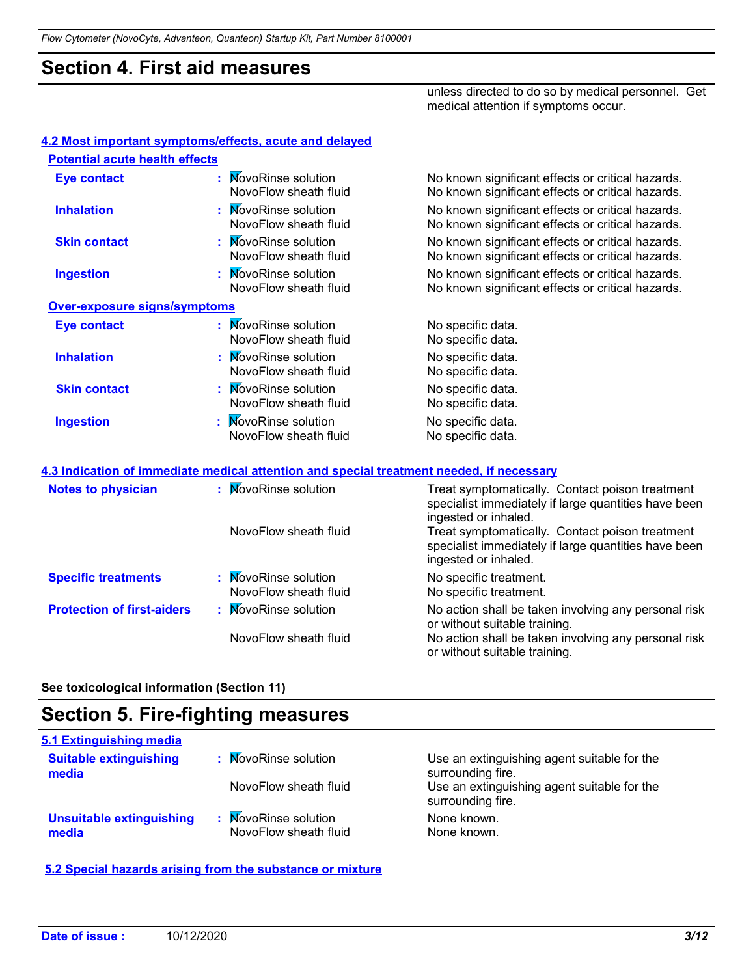*Flow Cytometer (NovoCyte, Advanteon, Quanteon) Startup Kit, Part Number 8100001*

#### **Section 4. First aid measures**

unless directed to do so by medical personnel. Get medical attention if symptoms occur.

| <b>Potential acute health effects</b> |                                               |                                                                                                        |
|---------------------------------------|-----------------------------------------------|--------------------------------------------------------------------------------------------------------|
| <b>Eye contact</b>                    | : MovoRinse solution<br>NovoFlow sheath fluid | No known significant effects or critical hazards.<br>No known significant effects or critical hazards. |
| <b>Inhalation</b>                     | : MovoRinse solution<br>NovoFlow sheath fluid | No known significant effects or critical hazards.<br>No known significant effects or critical hazards. |
| <b>Skin contact</b>                   | : MovoRinse solution<br>NovoFlow sheath fluid | No known significant effects or critical hazards.<br>No known significant effects or critical hazards. |
| <b>Ingestion</b>                      | : MovoRinse solution<br>NovoFlow sheath fluid | No known significant effects or critical hazards.<br>No known significant effects or critical hazards. |
| <b>Over-exposure signs/symptoms</b>   |                                               |                                                                                                        |
| <b>Eye contact</b>                    | : MovoRinse solution<br>NovoFlow sheath fluid | No specific data.<br>No specific data.                                                                 |
| <b>Inhalation</b>                     | : MovoRinse solution<br>NovoFlow sheath fluid | No specific data.<br>No specific data.                                                                 |
| <b>Skin contact</b>                   | : MovoRinse solution<br>NovoFlow sheath fluid | No specific data.<br>No specific data.                                                                 |
| <b>Ingestion</b>                      | : MovoRinse solution<br>NovoFlow sheath fluid | No specific data.<br>No specific data.                                                                 |

| <b>Notes to physician</b>         | : MovoRinse solution                          | Treat symptomatically. Contact poison treatment<br>specialist immediately if large quantities have been<br>ingested or inhaled. |
|-----------------------------------|-----------------------------------------------|---------------------------------------------------------------------------------------------------------------------------------|
|                                   | NovoFlow sheath fluid                         | Treat symptomatically. Contact poison treatment<br>specialist immediately if large quantities have been<br>ingested or inhaled. |
| <b>Specific treatments</b>        | : MovoRinse solution<br>NovoFlow sheath fluid | No specific treatment.<br>No specific treatment.                                                                                |
| <b>Protection of first-aiders</b> | : MovoRinse solution                          | No action shall be taken involving any personal risk<br>or without suitable training.                                           |
|                                   | NovoFlow sheath fluid                         | No action shall be taken involving any personal risk<br>or without suitable training.                                           |

#### **See toxicological information (Section 11)**

## **Section 5. Fire-fighting measures**

| 5.1 Extinguishing media                  |                                               |                                                                  |
|------------------------------------------|-----------------------------------------------|------------------------------------------------------------------|
| <b>Suitable extinguishing</b><br>media   | : MovoRinse solution                          | Use an extinguishing agent suitable for the<br>surrounding fire. |
|                                          | NovoFlow sheath fluid                         | Use an extinguishing agent suitable for the<br>surrounding fire. |
| <b>Unsuitable extinguishing</b><br>media | : MovoRinse solution<br>NovoFlow sheath fluid | None known.<br>None known.                                       |

**5.2 Special hazards arising from the substance or mixture**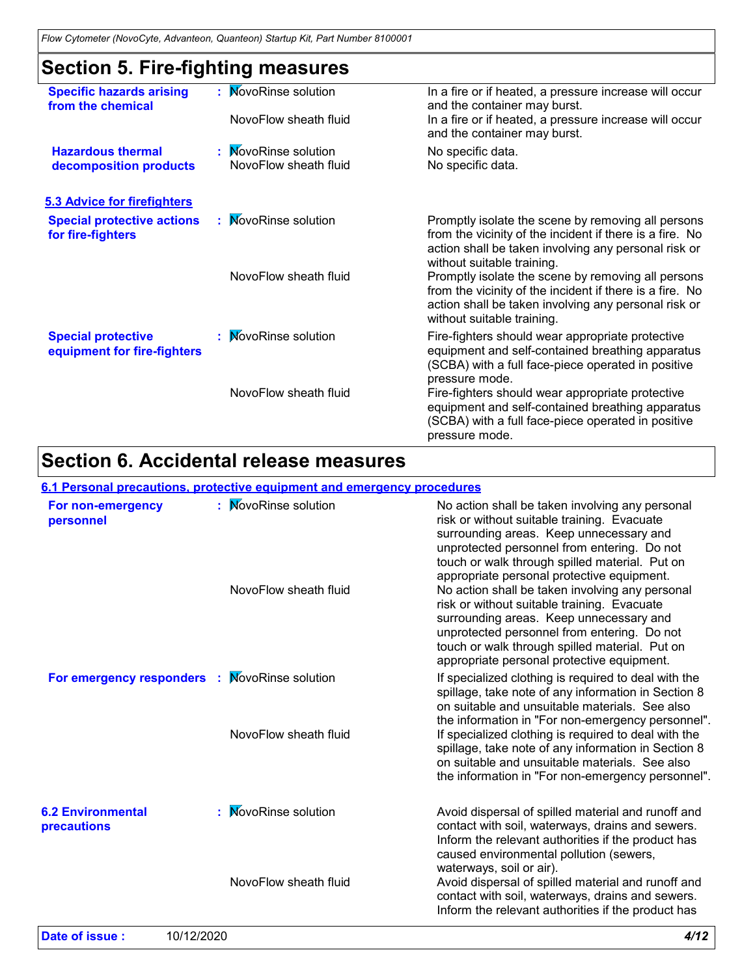## **Section 5. Fire-fighting measures**

| <b>Specific hazards arising</b><br>from the chemical     | : MovoRinse solution<br>NovoFlow sheath fluid | In a fire or if heated, a pressure increase will occur<br>and the container may burst.<br>In a fire or if heated, a pressure increase will occur<br>and the container may burst.                     |
|----------------------------------------------------------|-----------------------------------------------|------------------------------------------------------------------------------------------------------------------------------------------------------------------------------------------------------|
| <b>Hazardous thermal</b><br>decomposition products       | : MovoRinse solution<br>NovoFlow sheath fluid | No specific data.<br>No specific data.                                                                                                                                                               |
| 5.3 Advice for firefighters                              |                                               |                                                                                                                                                                                                      |
| <b>Special protective actions</b><br>for fire-fighters   | : MovoRinse solution                          | Promptly isolate the scene by removing all persons<br>from the vicinity of the incident if there is a fire. No<br>action shall be taken involving any personal risk or<br>without suitable training. |
|                                                          | NovoFlow sheath fluid                         | Promptly isolate the scene by removing all persons<br>from the vicinity of the incident if there is a fire. No<br>action shall be taken involving any personal risk or<br>without suitable training. |
| <b>Special protective</b><br>equipment for fire-fighters | : MovoRinse solution                          | Fire-fighters should wear appropriate protective<br>equipment and self-contained breathing apparatus<br>(SCBA) with a full face-piece operated in positive<br>pressure mode.                         |
|                                                          | NovoFlow sheath fluid                         | Fire-fighters should wear appropriate protective<br>equipment and self-contained breathing apparatus<br>(SCBA) with a full face-piece operated in positive<br>pressure mode.                         |

## **Section 6. Accidental release measures**

#### **6.1 Personal precautions, protective equipment and emergency procedures**

| For non-emergency<br>personnel          | ÷.   | <b>NovoRinse solution</b><br>NovoFlow sheath fluid | No action shall be taken involving any personal<br>risk or without suitable training. Evacuate<br>surrounding areas. Keep unnecessary and<br>unprotected personnel from entering. Do not<br>touch or walk through spilled material. Put on<br>appropriate personal protective equipment.<br>No action shall be taken involving any personal<br>risk or without suitable training. Evacuate<br>surrounding areas. Keep unnecessary and<br>unprotected personnel from entering. Do not<br>touch or walk through spilled material. Put on<br>appropriate personal protective equipment. |
|-----------------------------------------|------|----------------------------------------------------|--------------------------------------------------------------------------------------------------------------------------------------------------------------------------------------------------------------------------------------------------------------------------------------------------------------------------------------------------------------------------------------------------------------------------------------------------------------------------------------------------------------------------------------------------------------------------------------|
| For emergency responders                | - 11 | <b>MovoRinse solution</b><br>NovoFlow sheath fluid | If specialized clothing is required to deal with the<br>spillage, take note of any information in Section 8<br>on suitable and unsuitable materials. See also<br>the information in "For non-emergency personnel".<br>If specialized clothing is required to deal with the<br>spillage, take note of any information in Section 8<br>on suitable and unsuitable materials. See also<br>the information in "For non-emergency personnel".                                                                                                                                             |
| <b>6.2 Environmental</b><br>precautions |      | <b>MovoRinse solution</b>                          | Avoid dispersal of spilled material and runoff and<br>contact with soil, waterways, drains and sewers.<br>Inform the relevant authorities if the product has<br>caused environmental pollution (sewers,<br>waterways, soil or air).                                                                                                                                                                                                                                                                                                                                                  |
|                                         |      | NovoFlow sheath fluid                              | Avoid dispersal of spilled material and runoff and<br>contact with soil, waterways, drains and sewers.<br>Inform the relevant authorities if the product has                                                                                                                                                                                                                                                                                                                                                                                                                         |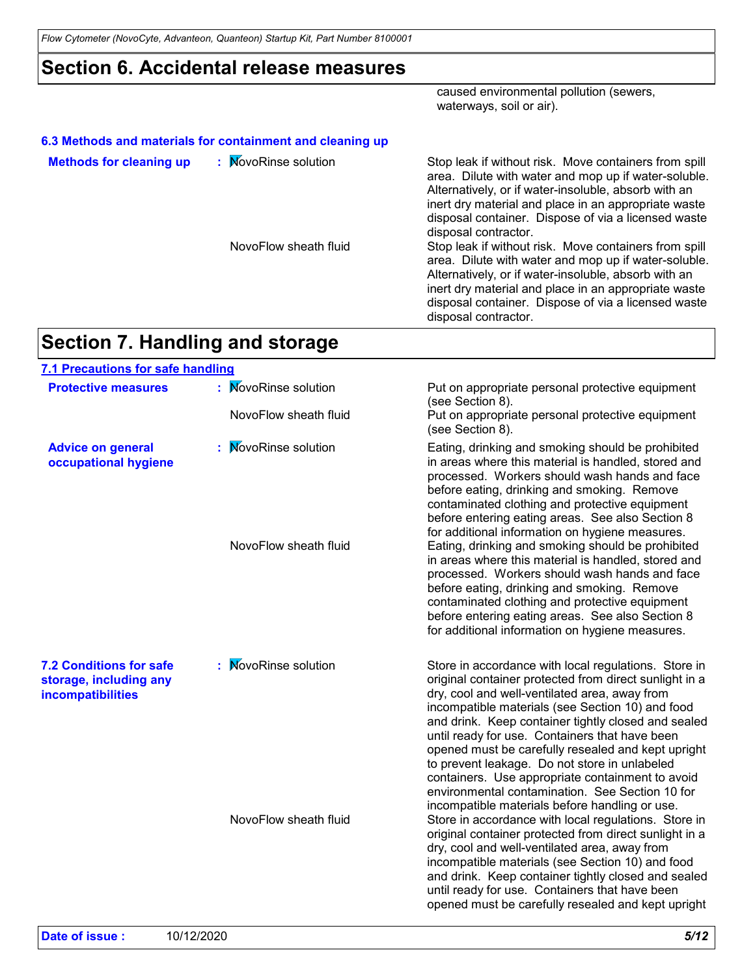*Flow Cytometer (NovoCyte, Advanteon, Quanteon) Startup Kit, Part Number 8100001*

#### **Section 6. Accidental release measures**

caused environmental pollution (sewers, waterways, soil or air).

|                                | 6.3 Methods and materials for containment and cleaning up |                                                                                                                                                                                                                                                                                                              |
|--------------------------------|-----------------------------------------------------------|--------------------------------------------------------------------------------------------------------------------------------------------------------------------------------------------------------------------------------------------------------------------------------------------------------------|
| <b>Methods for cleaning up</b> | : MovoRinse solution                                      | Stop leak if without risk. Move containers from spill<br>area. Dilute with water and mop up if water-soluble.<br>Alternatively, or if water-insoluble, absorb with an<br>inert dry material and place in an appropriate waste<br>disposal container. Dispose of via a licensed waste<br>disposal contractor. |
|                                | NovoFlow sheath fluid                                     | Stop leak if without risk. Move containers from spill<br>area. Dilute with water and mop up if water-soluble.<br>Alternatively, or if water-insoluble, absorb with an<br>inert dry material and place in an appropriate waste<br>disposal container. Dispose of via a licensed waste<br>disposal contractor. |

## **Section 7. Handling and storage**

| 7.1 Precautions for safe handling                                             |                           |                                                                                                                                                                                                                                                                                                                                                                                                                                                                                                                                            |
|-------------------------------------------------------------------------------|---------------------------|--------------------------------------------------------------------------------------------------------------------------------------------------------------------------------------------------------------------------------------------------------------------------------------------------------------------------------------------------------------------------------------------------------------------------------------------------------------------------------------------------------------------------------------------|
| <b>Protective measures</b>                                                    | : MovoRinse solution      | Put on appropriate personal protective equipment<br>(see Section 8).                                                                                                                                                                                                                                                                                                                                                                                                                                                                       |
|                                                                               | NovoFlow sheath fluid     | Put on appropriate personal protective equipment<br>(see Section 8).                                                                                                                                                                                                                                                                                                                                                                                                                                                                       |
| <b>Advice on general</b><br>occupational hygiene                              | <b>NovoRinse solution</b> | Eating, drinking and smoking should be prohibited<br>in areas where this material is handled, stored and<br>processed. Workers should wash hands and face<br>before eating, drinking and smoking. Remove<br>contaminated clothing and protective equipment<br>before entering eating areas. See also Section 8<br>for additional information on hygiene measures.                                                                                                                                                                          |
|                                                                               | NovoFlow sheath fluid     | Eating, drinking and smoking should be prohibited<br>in areas where this material is handled, stored and<br>processed. Workers should wash hands and face<br>before eating, drinking and smoking. Remove<br>contaminated clothing and protective equipment<br>before entering eating areas. See also Section 8<br>for additional information on hygiene measures.                                                                                                                                                                          |
| <b>7.2 Conditions for safe</b><br>storage, including any<br>incompatibilities | : MovoRinse solution      | Store in accordance with local regulations. Store in<br>original container protected from direct sunlight in a<br>dry, cool and well-ventilated area, away from<br>incompatible materials (see Section 10) and food<br>and drink. Keep container tightly closed and sealed<br>until ready for use. Containers that have been<br>opened must be carefully resealed and kept upright<br>to prevent leakage. Do not store in unlabeled<br>containers. Use appropriate containment to avoid<br>environmental contamination. See Section 10 for |
|                                                                               | NovoFlow sheath fluid     | incompatible materials before handling or use.<br>Store in accordance with local regulations. Store in<br>original container protected from direct sunlight in a<br>dry, cool and well-ventilated area, away from<br>incompatible materials (see Section 10) and food<br>and drink. Keep container tightly closed and sealed<br>until ready for use. Containers that have been<br>opened must be carefully resealed and kept upright                                                                                                       |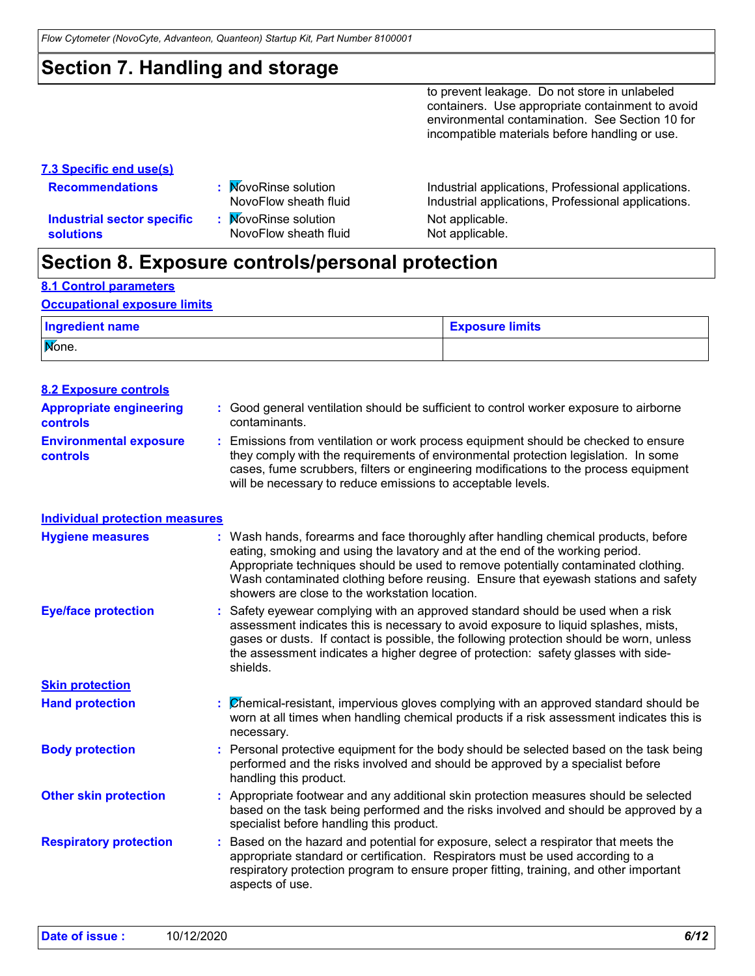*Flow Cytometer (NovoCyte, Advanteon, Quanteon) Startup Kit, Part Number 8100001*

## **Section 7. Handling and storage**

to prevent leakage. Do not store in unlabeled containers. Use appropriate containment to avoid environmental contamination. See Section 10 for incompatible materials before handling or use.

#### **7.3 Specific end use(s)**

- 
- **Recommendations :**
- **Industrial sector specific : solutions**
- MovoRinse solution Mot applicable.<br>NovoFlow sheath fluid Not applicable. NovoFlow sheath fluid

Industrial applications, Professional applications. NovoFlow sheath fluid Industrial applications, Professional applications.

#### **Section 8. Exposure controls/personal protection**

**8.1 Control parameters**

#### **Occupational exposure limits**

| Ingredient name | <b>Exposure limits</b> |
|-----------------|------------------------|
| Mone.           |                        |

| <b>8.2 Exposure controls</b>                      |                                                                                                                                                                                                                                                                                                                                                                                                   |
|---------------------------------------------------|---------------------------------------------------------------------------------------------------------------------------------------------------------------------------------------------------------------------------------------------------------------------------------------------------------------------------------------------------------------------------------------------------|
| <b>Appropriate engineering</b><br><b>controls</b> | : Good general ventilation should be sufficient to control worker exposure to airborne<br>contaminants.                                                                                                                                                                                                                                                                                           |
| <b>Environmental exposure</b><br>controls         | : Emissions from ventilation or work process equipment should be checked to ensure<br>they comply with the requirements of environmental protection legislation. In some<br>cases, fume scrubbers, filters or engineering modifications to the process equipment<br>will be necessary to reduce emissions to acceptable levels.                                                                   |
| <b>Individual protection measures</b>             |                                                                                                                                                                                                                                                                                                                                                                                                   |
| <b>Hygiene measures</b>                           | : Wash hands, forearms and face thoroughly after handling chemical products, before<br>eating, smoking and using the lavatory and at the end of the working period.<br>Appropriate techniques should be used to remove potentially contaminated clothing.<br>Wash contaminated clothing before reusing. Ensure that eyewash stations and safety<br>showers are close to the workstation location. |
| <b>Eye/face protection</b>                        | : Safety eyewear complying with an approved standard should be used when a risk<br>assessment indicates this is necessary to avoid exposure to liquid splashes, mists,<br>gases or dusts. If contact is possible, the following protection should be worn, unless<br>the assessment indicates a higher degree of protection: safety glasses with side-<br>shields.                                |
| <b>Skin protection</b>                            |                                                                                                                                                                                                                                                                                                                                                                                                   |
| <b>Hand protection</b>                            | $\mathcal{O}$ hemical-resistant, impervious gloves complying with an approved standard should be<br>worn at all times when handling chemical products if a risk assessment indicates this is<br>necessary.                                                                                                                                                                                        |
| <b>Body protection</b>                            | : Personal protective equipment for the body should be selected based on the task being<br>performed and the risks involved and should be approved by a specialist before<br>handling this product.                                                                                                                                                                                               |
| <b>Other skin protection</b>                      | : Appropriate footwear and any additional skin protection measures should be selected<br>based on the task being performed and the risks involved and should be approved by a<br>specialist before handling this product.                                                                                                                                                                         |
| <b>Respiratory protection</b>                     | Based on the hazard and potential for exposure, select a respirator that meets the<br>appropriate standard or certification. Respirators must be used according to a<br>respiratory protection program to ensure proper fitting, training, and other important<br>aspects of use.                                                                                                                 |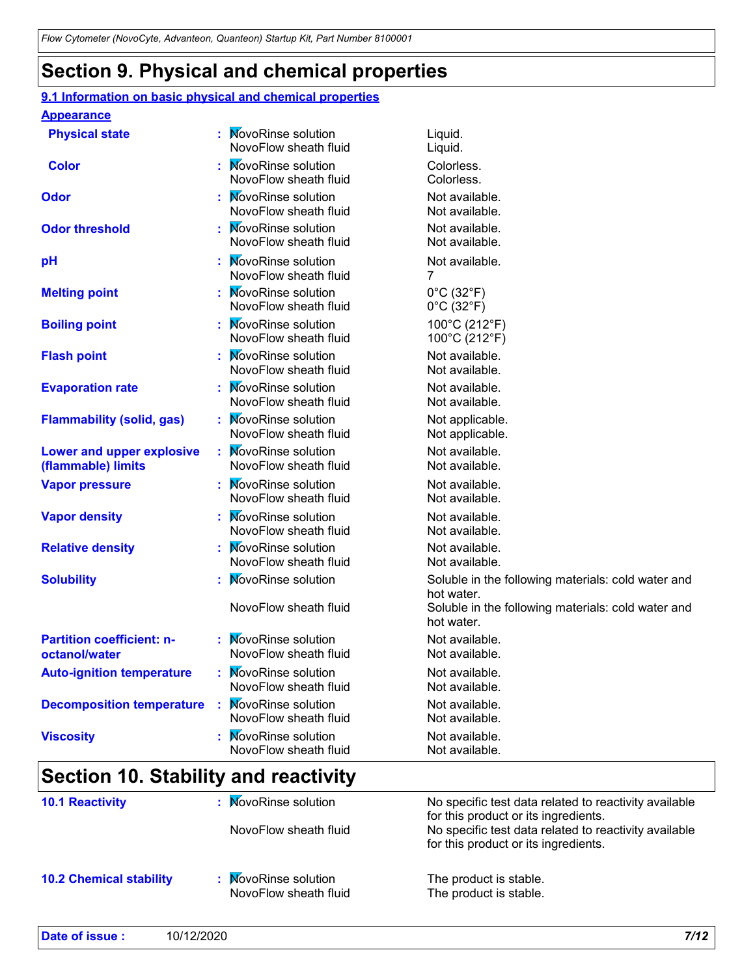#### **Section 9. Physical and chemical properties**

#### **Physical state Melting point Vapor pressure Relative density Vapor density Solubility WovoRinse solution** Liquid. NovoFlow sheath fluid Liquid. **EXECUTE:** MovoRinse solution and  $0^{\circ}$ C (32 $^{\circ}$ F) NovoFlow sheath fluid  $0^{\circ}$ C (32 $^{\circ}$ F) **EXECUTE:** MovoRinse solution Not available. NovoFlow sheath fluid Not available. **EXECUTE:** Not available. NovoFlow sheath fluid Not available. **EXECUTE:** MovoRinse solution Not available. NovoFlow sheath fluid Not available. Soluble in the following materials: cold water and hot water. NovoFlow sheath fluid Soluble in the following materials: cold water and hot water. **EXECUTE:** MovoRinse solution Not available. NovoFlow sheath fluid Not available. **Odor pH :** MovoRinse solution Colorless. NovoFlow sheath fluid Colorless. **Color Evaporation rate https://willipscontagers/contract/inducered/inducered/inducered/inducered/inducered/inducered/inducered/inducered/inducered/inducered/inducered/inducered/inducered/inducered/inducered/inducered/inducere** NovoFlow sheath fluid Not available. **Auto-ignition temperature Flash point EXECUTE:** MovoRinse solution Not available. NovoFlow sheath fluid Not available. **EXECUTE:** MovoRinse solution **Not available.** NovoFlow sheath fluid Not available. **EXECUTE:** MovoRinse solution Not available. NovoFlow sheath fluid Not available. **EXECUTE:** Not available. NovoFlow sheath fluid 7 **Viscosity NovoRinse solution** Mot available. NovoFlow sheath fluid Not available. **EXECUTE:** Not available. NovoFlow sheath fluid Not available. **Odor threshold Partition coefficient: noctanol/water :** MovoRinse solution **Appearance Boiling point :** NovoRinse solution 100°C (212°F) NovoFlow sheath fluid 100°C (212°F) **Flammability (solid, gas)**  $\qquad$  **: MovoRinse solution Not applicable.** NovoFlow sheath fluid Not applicable. **Lower and upper explosive (flammable) limits** : MovoRinse solution Not available. NovoFlow sheath fluid Not available **Decomposition temperature** : MovoRinse solution Not available. NovoFlow sheath fluid Not available. **9.1 Information on basic physical and chemical properties**

#### **Section 10. Stability and reactivity**

| <b>10.1 Reactivity</b>         | : MovoRinse solution<br>NovoFlow sheath fluid | No specific test data related to reactivity available<br>for this product or its ingredients.<br>No specific test data related to reactivity available<br>for this product or its ingredients. |
|--------------------------------|-----------------------------------------------|------------------------------------------------------------------------------------------------------------------------------------------------------------------------------------------------|
| <b>10.2 Chemical stability</b> | : MovoRinse solution<br>NovoFlow sheath fluid | The product is stable.<br>The product is stable.                                                                                                                                               |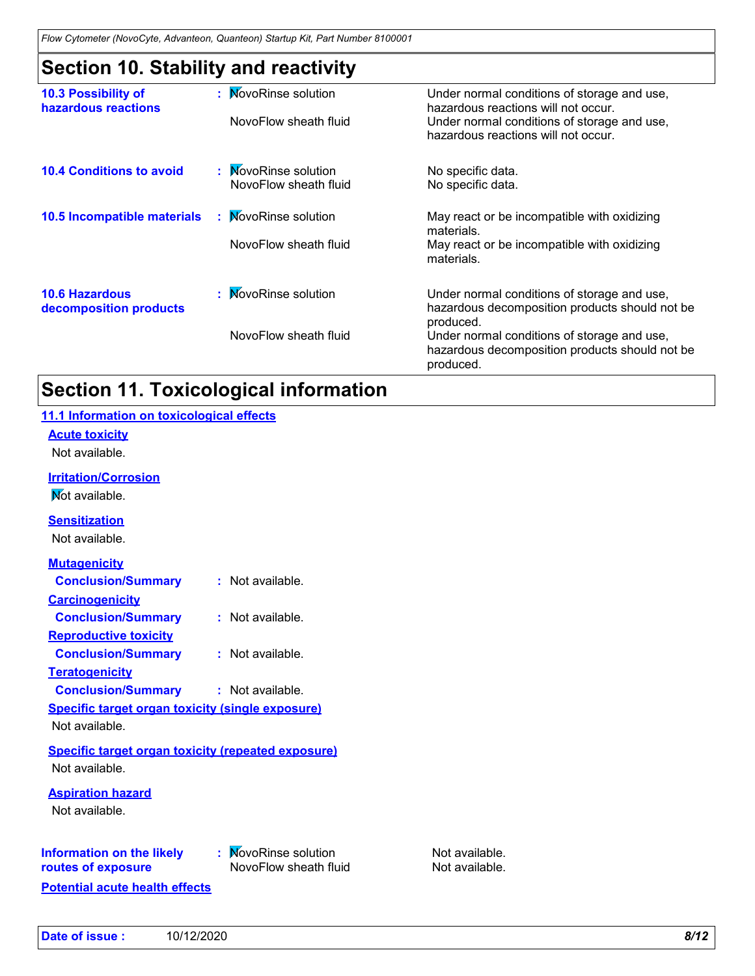## **Section 10. Stability and reactivity**

|                                                 | ◢<br>◢                |                                                                                                            |
|-------------------------------------------------|-----------------------|------------------------------------------------------------------------------------------------------------|
| 10.3 Possibility of<br>hazardous reactions      | : MovoRinse solution  | Under normal conditions of storage and use,<br>hazardous reactions will not occur.                         |
|                                                 | NovoFlow sheath fluid | Under normal conditions of storage and use,<br>hazardous reactions will not occur.                         |
| <b>10.4 Conditions to avoid</b>                 | : MovoRinse solution  | No specific data.                                                                                          |
|                                                 | NovoFlow sheath fluid | No specific data.                                                                                          |
| <b>10.5 Incompatible materials</b>              | : MovoRinse solution  | May react or be incompatible with oxidizing<br>materials.                                                  |
|                                                 | NovoFlow sheath fluid | May react or be incompatible with oxidizing<br>materials.                                                  |
| <b>10.6 Hazardous</b><br>decomposition products | : MovoRinse solution  | Under normal conditions of storage and use,<br>hazardous decomposition products should not be<br>produced. |
|                                                 | NovoFlow sheath fluid | Under normal conditions of storage and use,<br>hazardous decomposition products should not be<br>produced. |

## **Section 11. Toxicological information**

| 11.1 Information on toxicological effects                 |                       |                |
|-----------------------------------------------------------|-----------------------|----------------|
| <b>Acute toxicity</b>                                     |                       |                |
| Not available.                                            |                       |                |
| <b>Irritation/Corrosion</b>                               |                       |                |
| Not available.                                            |                       |                |
| <b>Sensitization</b>                                      |                       |                |
| Not available.                                            |                       |                |
| <b>Mutagenicity</b>                                       |                       |                |
| <b>Conclusion/Summary</b>                                 | : Not available.      |                |
| <b>Carcinogenicity</b>                                    |                       |                |
| <b>Conclusion/Summary</b>                                 | : Not available.      |                |
| <b>Reproductive toxicity</b>                              |                       |                |
| <b>Conclusion/Summary</b>                                 | : Not available.      |                |
| <b>Teratogenicity</b>                                     |                       |                |
| <b>Conclusion/Summary</b>                                 | : Not available.      |                |
| <b>Specific target organ toxicity (single exposure)</b>   |                       |                |
| Not available.                                            |                       |                |
| <b>Specific target organ toxicity (repeated exposure)</b> |                       |                |
| Not available.                                            |                       |                |
| <b>Aspiration hazard</b>                                  |                       |                |
| Not available.                                            |                       |                |
|                                                           |                       |                |
| <b>Information on the likely</b>                          | : MovoRinse solution  | Not available. |
| routes of exposure                                        | NovoFlow sheath fluid | Not available. |
| <b>Potential acute health effects</b>                     |                       |                |
|                                                           |                       |                |
|                                                           |                       |                |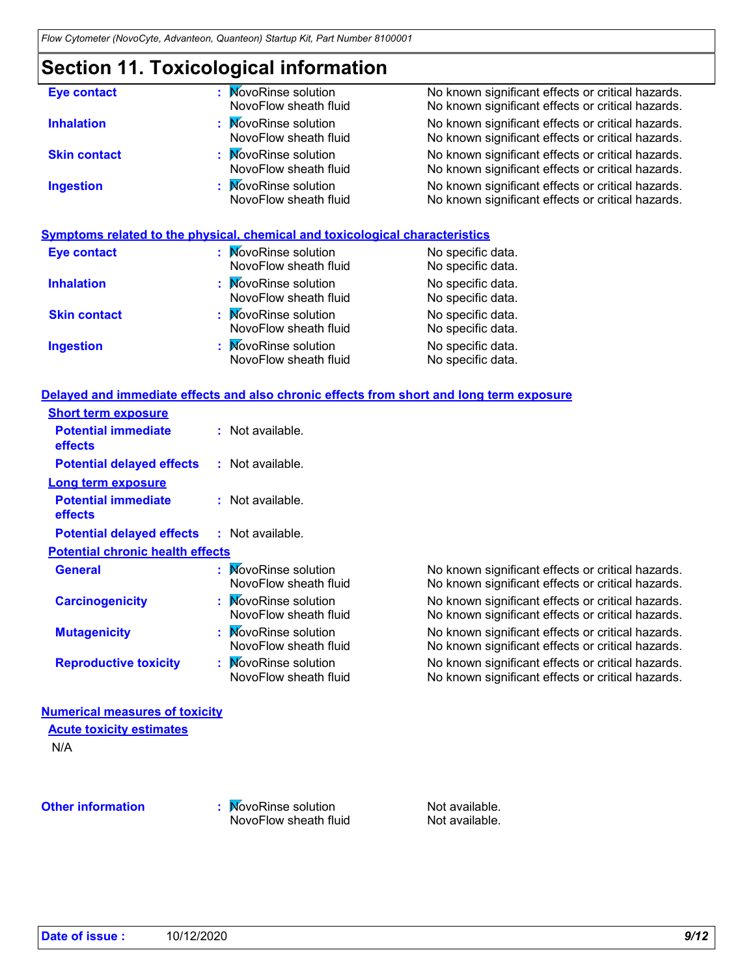## **Section 11. Toxicological information**

| <b>Eye contact</b>  | : MovoRinse solution<br>NovoFlow sheath fluid | No known significant effects or critical hazards.<br>No known significant effects or critical hazards. |
|---------------------|-----------------------------------------------|--------------------------------------------------------------------------------------------------------|
| <b>Inhalation</b>   | : MovoRinse solution<br>NovoFlow sheath fluid | No known significant effects or critical hazards.<br>No known significant effects or critical hazards. |
| <b>Skin contact</b> | : MovoRinse solution<br>NovoFlow sheath fluid | No known significant effects or critical hazards.<br>No known significant effects or critical hazards. |
| <b>Ingestion</b>    | : MovoRinse solution<br>NovoFlow sheath fluid | No known significant effects or critical hazards.<br>No known significant effects or critical hazards. |

#### **Symptoms related to the physical, chemical and toxicological characteristics**

| <b>Eye contact</b>  | : MovoRinse solution<br>NovoFlow sheath fluid | No specific data.<br>No specific data. |
|---------------------|-----------------------------------------------|----------------------------------------|
| <b>Inhalation</b>   | : MovoRinse solution<br>NovoFlow sheath fluid | No specific data.<br>No specific data. |
| <b>Skin contact</b> | : MovoRinse solution<br>NovoFlow sheath fluid | No specific data.<br>No specific data. |
| <b>Ingestion</b>    | : MovoRinse solution<br>NovoFlow sheath fluid | No specific data.<br>No specific data. |

#### **Delayed and immediate effects and also chronic effects from short and long term exposure**

| <b>Short term exposure</b>                   |                                               |                                                                                                        |
|----------------------------------------------|-----------------------------------------------|--------------------------------------------------------------------------------------------------------|
| <b>Potential immediate</b><br><b>effects</b> | $:$ Not available.                            |                                                                                                        |
| <b>Potential delayed effects</b>             | : Not available.                              |                                                                                                        |
| <b>Long term exposure</b>                    |                                               |                                                                                                        |
| <b>Potential immediate</b><br>effects        | : Not available.                              |                                                                                                        |
| <b>Potential delayed effects</b>             | : Not available.                              |                                                                                                        |
| <b>Potential chronic health effects</b>      |                                               |                                                                                                        |
| <b>General</b>                               | : MovoRinse solution<br>NovoFlow sheath fluid | No known significant effects or critical hazards.<br>No known significant effects or critical hazards. |
| <b>Carcinogenicity</b>                       | : MovoRinse solution<br>NovoFlow sheath fluid | No known significant effects or critical hazards.<br>No known significant effects or critical hazards. |
| <b>Mutagenicity</b>                          | : MovoRinse solution<br>NovoFlow sheath fluid | No known significant effects or critical hazards.<br>No known significant effects or critical hazards. |
| <b>Reproductive toxicity</b>                 | : MovoRinse solution<br>NovoFlow sheath fluid | No known significant effects or critical hazards.<br>No known significant effects or critical hazards. |
| <b>Numerical measures of toxicity</b>        |                                               |                                                                                                        |
| <b>Acute toxicity estimates</b>              |                                               |                                                                                                        |
| N/A                                          |                                               |                                                                                                        |
|                                              |                                               |                                                                                                        |

**Other information :** NovoRinse solution Not available.<br>Not available.<br>Not available. NovoFlow sheath fluid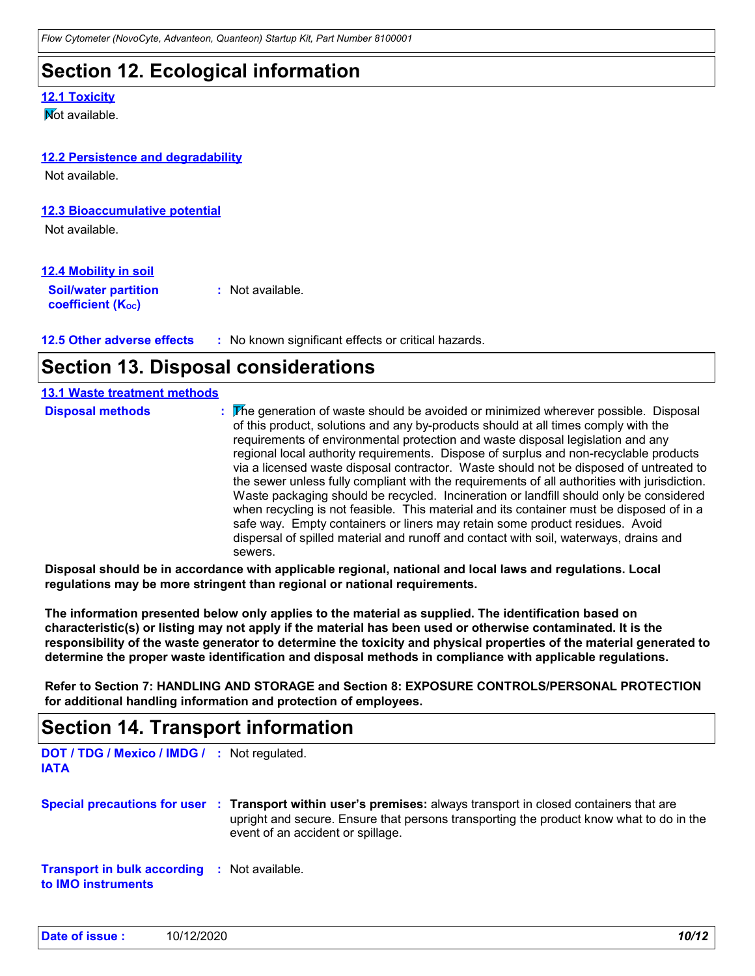#### **Section 12. Ecological information**

#### **12.1 Toxicity**

**M**ot available

#### **12.2 Persistence and degradability**

Not available.

#### **12.3 Bioaccumulative potential**

Not available.

#### **12.4 Mobility in soil**

**Soil/water partition coefficient (KOC) :** Not available.

**12.5 Other adverse effects :** No known significant effects or critical hazards.

## **Section 13. Disposal considerations**

| <b>13.1 Waste treatment methods</b> |                                                                                                                                                                                                                                                                                                                                                                                                                                                                                                                                                                                                                                                                                                                                                                                                                                                                                                                            |
|-------------------------------------|----------------------------------------------------------------------------------------------------------------------------------------------------------------------------------------------------------------------------------------------------------------------------------------------------------------------------------------------------------------------------------------------------------------------------------------------------------------------------------------------------------------------------------------------------------------------------------------------------------------------------------------------------------------------------------------------------------------------------------------------------------------------------------------------------------------------------------------------------------------------------------------------------------------------------|
| <b>Disposal methods</b>             | : The generation of waste should be avoided or minimized wherever possible. Disposal<br>of this product, solutions and any by-products should at all times comply with the<br>requirements of environmental protection and waste disposal legislation and any<br>regional local authority requirements. Dispose of surplus and non-recyclable products<br>via a licensed waste disposal contractor. Waste should not be disposed of untreated to<br>the sewer unless fully compliant with the requirements of all authorities with jurisdiction.<br>Waste packaging should be recycled. Incineration or landfill should only be considered<br>when recycling is not feasible. This material and its container must be disposed of in a<br>safe way. Empty containers or liners may retain some product residues. Avoid<br>dispersal of spilled material and runoff and contact with soil, waterways, drains and<br>sewers. |

**Disposal should be in accordance with applicable regional, national and local laws and regulations. Local regulations may be more stringent than regional or national requirements.**

**The information presented below only applies to the material as supplied. The identification based on characteristic(s) or listing may not apply if the material has been used or otherwise contaminated. It is the responsibility of the waste generator to determine the toxicity and physical properties of the material generated to determine the proper waste identification and disposal methods in compliance with applicable regulations.**

**Refer to Section 7: HANDLING AND STORAGE and Section 8: EXPOSURE CONTROLS/PERSONAL PROTECTION for additional handling information and protection of employees.**

#### **Section 14. Transport information**

**DOT / TDG / Mexico / IMDG / :** Not regulated. **IATA**

**Special precautions for user Transport within user's premises:** always transport in closed containers that are **:** upright and secure. Ensure that persons transporting the product know what to do in the event of an accident or spillage.

**Transport in bulk according :** Not available. **to IMO instruments**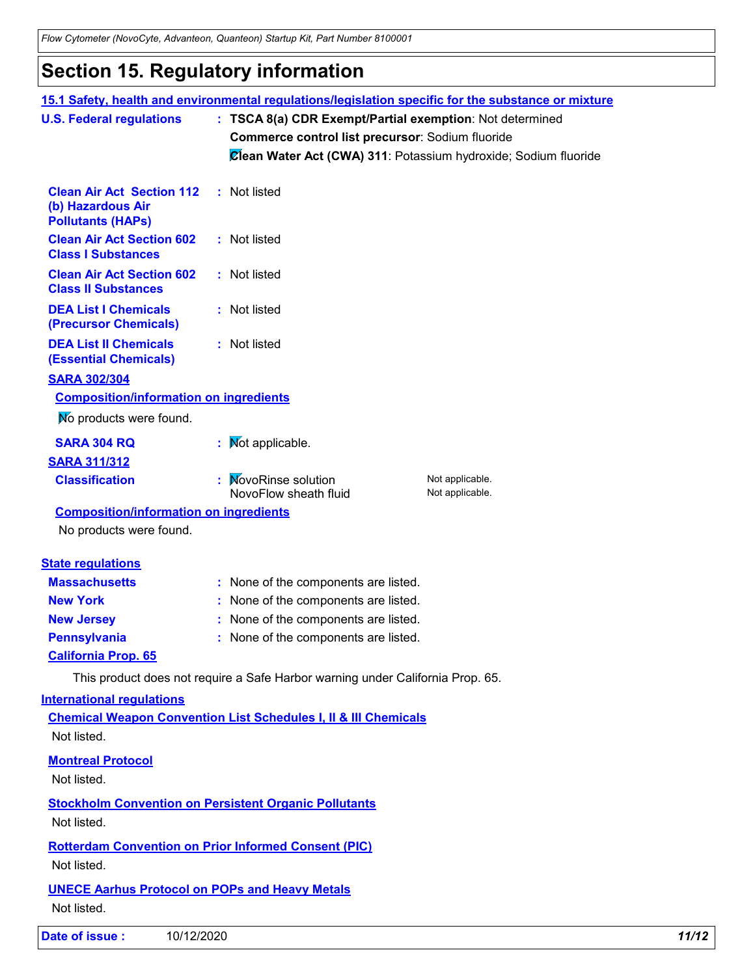## **Section 15. Regulatory information**

|                                                                                   |                                                                                | 15.1 Safety, health and environmental regulations/legislation specific for the substance or mixture |       |  |
|-----------------------------------------------------------------------------------|--------------------------------------------------------------------------------|-----------------------------------------------------------------------------------------------------|-------|--|
| <b>U.S. Federal regulations</b>                                                   |                                                                                | : TSCA 8(a) CDR Exempt/Partial exemption: Not determined                                            |       |  |
|                                                                                   | Commerce control list precursor: Sodium fluoride                               |                                                                                                     |       |  |
|                                                                                   |                                                                                | Clean Water Act (CWA) 311: Potassium hydroxide; Sodium fluoride                                     |       |  |
| <b>Clean Air Act Section 112</b><br>(b) Hazardous Air<br><b>Pollutants (HAPs)</b> | : Not listed                                                                   |                                                                                                     |       |  |
| <b>Clean Air Act Section 602</b><br><b>Class I Substances</b>                     | : Not listed                                                                   |                                                                                                     |       |  |
| <b>Clean Air Act Section 602</b><br><b>Class II Substances</b>                    | : Not listed                                                                   |                                                                                                     |       |  |
| <b>DEA List I Chemicals</b><br>(Precursor Chemicals)                              | : Not listed                                                                   |                                                                                                     |       |  |
| <b>DEA List II Chemicals</b><br><b>(Essential Chemicals)</b>                      | : Not listed                                                                   |                                                                                                     |       |  |
| <b>SARA 302/304</b>                                                               |                                                                                |                                                                                                     |       |  |
| <b>Composition/information on ingredients</b>                                     |                                                                                |                                                                                                     |       |  |
| No products were found.                                                           |                                                                                |                                                                                                     |       |  |
| <b>SARA 304 RQ</b>                                                                | : Mot applicable.                                                              |                                                                                                     |       |  |
| <b>SARA 311/312</b>                                                               |                                                                                |                                                                                                     |       |  |
| <b>Classification</b>                                                             | : MovoRinse solution<br>NovoFlow sheath fluid                                  | Not applicable.<br>Not applicable.                                                                  |       |  |
| <b>Composition/information on ingredients</b>                                     |                                                                                |                                                                                                     |       |  |
| No products were found.                                                           |                                                                                |                                                                                                     |       |  |
| <b>State regulations</b>                                                          |                                                                                |                                                                                                     |       |  |
| <b>Massachusetts</b>                                                              | : None of the components are listed.                                           |                                                                                                     |       |  |
| <b>New York</b>                                                                   | : None of the components are listed.                                           |                                                                                                     |       |  |
| <b>New Jersey</b>                                                                 | : None of the components are listed.                                           |                                                                                                     |       |  |
| <b>Pennsylvania</b>                                                               | : None of the components are listed.                                           |                                                                                                     |       |  |
| <b>California Prop. 65</b>                                                        |                                                                                |                                                                                                     |       |  |
|                                                                                   | This product does not require a Safe Harbor warning under California Prop. 65. |                                                                                                     |       |  |
| <b>International requlations</b>                                                  |                                                                                |                                                                                                     |       |  |
| Not listed.                                                                       | <b>Chemical Weapon Convention List Schedules I, II &amp; III Chemicals</b>     |                                                                                                     |       |  |
| <b>Montreal Protocol</b><br>Not listed.                                           |                                                                                |                                                                                                     |       |  |
| Not listed.                                                                       | <b>Stockholm Convention on Persistent Organic Pollutants</b>                   |                                                                                                     |       |  |
| Not listed.                                                                       | <b>Rotterdam Convention on Prior Informed Consent (PIC)</b>                    |                                                                                                     |       |  |
|                                                                                   |                                                                                |                                                                                                     |       |  |
| <b>UNECE Aarhus Protocol on POPs and Heavy Metals</b><br>Not listed.              |                                                                                |                                                                                                     |       |  |
| Date of issue :<br>10/12/2020                                                     |                                                                                |                                                                                                     | 11/12 |  |